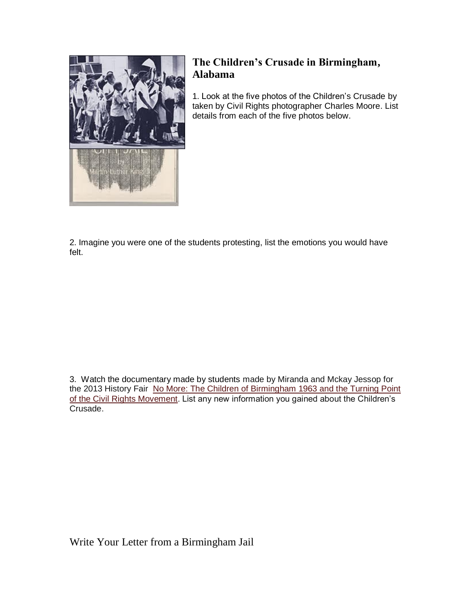

## **The Children's Crusade in Birmingham, Alabama**

1. Look at the five photos of the Children's Crusade by taken by Civil Rights photographer Charles Moore. List details from each of the five photos below.

2. Imagine you were one of the students protesting, list the emotions you would have felt.

3. Watch the documentary made by students made by Miranda and Mckay Jessop for the 2013 History Fair No More: The Children of Birmingham 1963 and the Turning Point [of the Civil Rights Movement.](https://www.youtube.com/watch?v=hCxE6i_SzoQ) List any new information you gained about the Children's Crusade.

Write Your Letter from a Birmingham Jail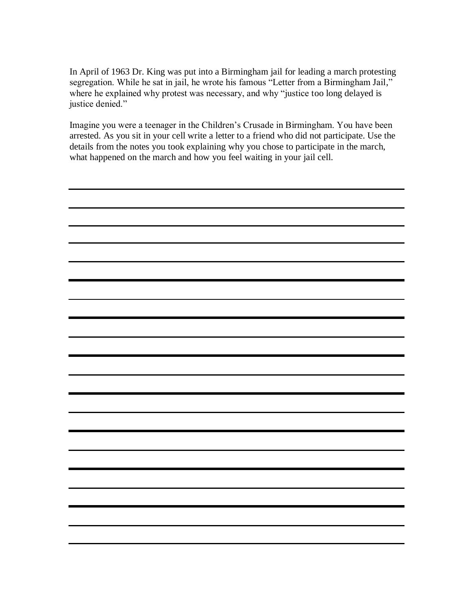In April of 1963 Dr. King was put into a Birmingham jail for leading a march protesting segregation. While he sat in jail, he wrote his famous "Letter from a Birmingham Jail," where he explained why protest was necessary, and why "justice too long delayed is justice denied."

Imagine you were a teenager in the Children's Crusade in Birmingham. You have been arrested. As you sit in your cell write a letter to a friend who did not participate. Use the details from the notes you took explaining why you chose to participate in the march, what happened on the march and how you feel waiting in your jail cell.